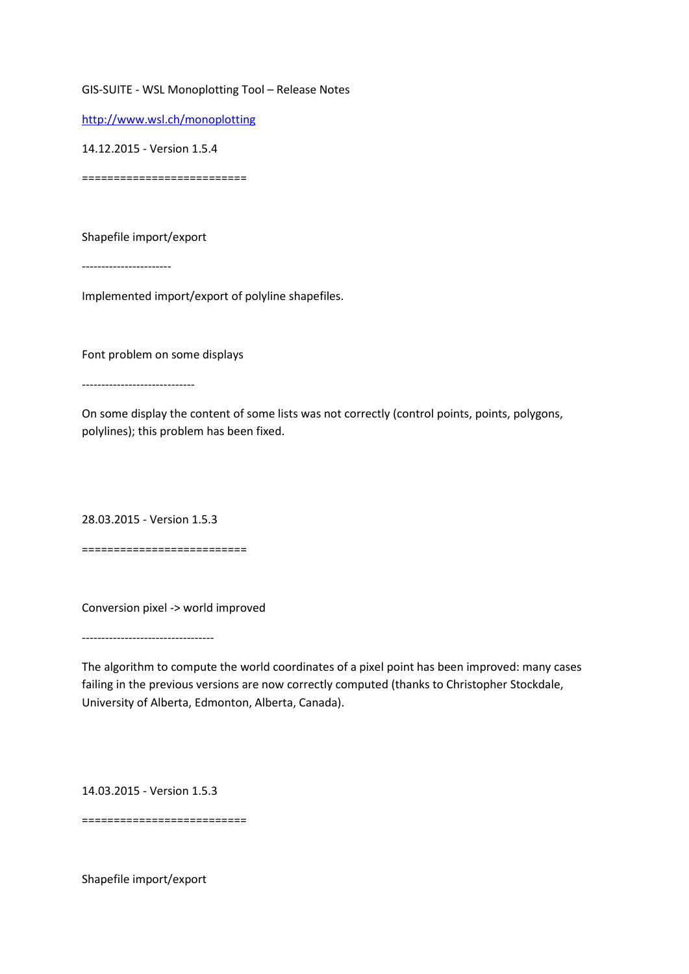GIS-SUITE - WSL Monoplotting Tool – Release Notes

<http://www.wsl.ch/monoplotting>

14.12.2015 - Version 1.5.4

==========================

Shapefile import/export

-----------------------

Implemented import/export of polyline shapefiles.

Font problem on some displays

-----------------------------

On some display the content of some lists was not correctly (control points, points, polygons, polylines); this problem has been fixed.

28.03.2015 - Version 1.5.3

==========================

Conversion pixel -> world improved

----------------------------------

The algorithm to compute the world coordinates of a pixel point has been improved: many cases failing in the previous versions are now correctly computed (thanks to Christopher Stockdale, University of Alberta, Edmonton, Alberta, Canada).

14.03.2015 - Version 1.5.3

==========================

Shapefile import/export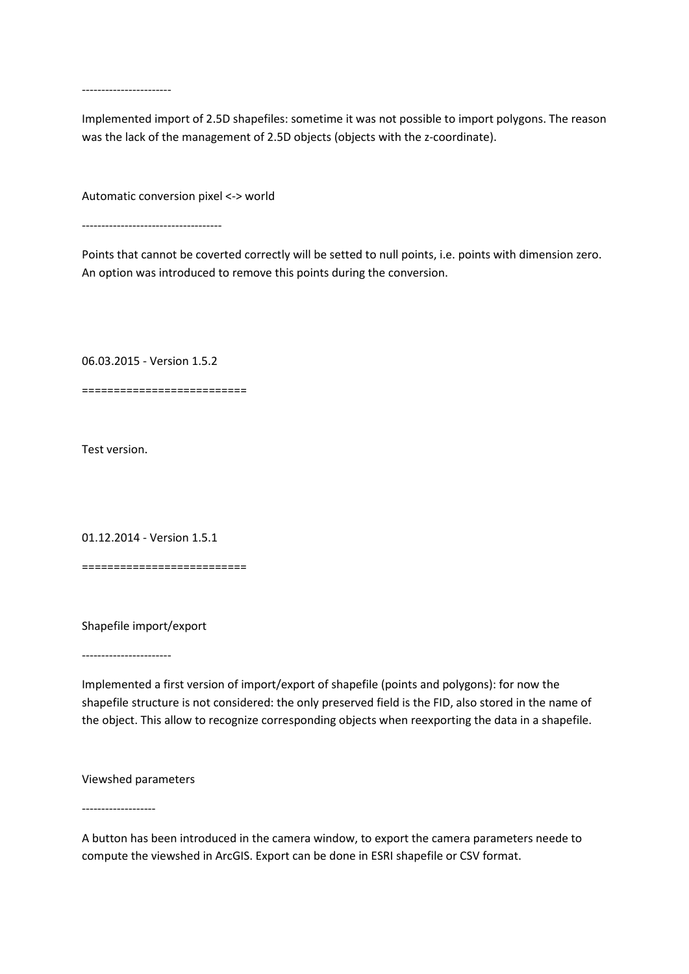-----------------------

Implemented import of 2.5D shapefiles: sometime it was not possible to import polygons. The reason was the lack of the management of 2.5D objects (objects with the z-coordinate).

Automatic conversion pixel <-> world

------------------------------------

Points that cannot be coverted correctly will be setted to null points, i.e. points with dimension zero. An option was introduced to remove this points during the conversion.

06.03.2015 - Version 1.5.2

==========================

Test version.

01.12.2014 - Version 1.5.1

==========================

Shapefile import/export

-----------------------

Implemented a first version of import/export of shapefile (points and polygons): for now the shapefile structure is not considered: the only preserved field is the FID, also stored in the name of the object. This allow to recognize corresponding objects when reexporting the data in a shapefile.

Viewshed parameters

-------------------

A button has been introduced in the camera window, to export the camera parameters neede to compute the viewshed in ArcGIS. Export can be done in ESRI shapefile or CSV format.